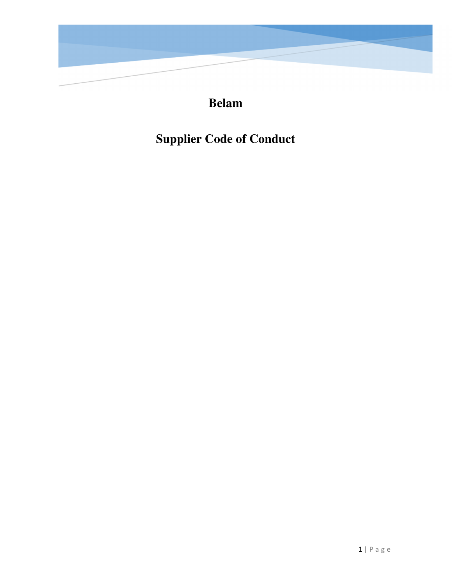

# **Belam**

# **Supplier Code of Conduct**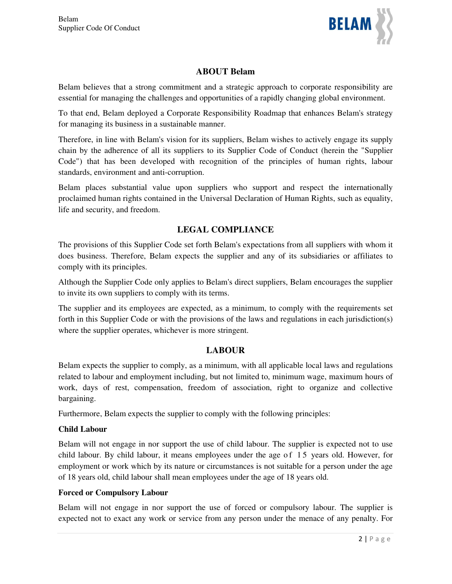

# **ABOUT Belam**

Belam believes that a strong commitment and a strategic approach to corporate responsibility are essential for managing the challenges and opportunities of a rapidly changing global environment.

To that end, Belam deployed a Corporate Responsibility Roadmap that enhances Belam's strategy for managing its business in a sustainable manner.

Therefore, in line with Belam's vision for its suppliers, Belam wishes to actively engage its supply chain by the adherence of all its suppliers to its Supplier Code of Conduct (herein the "Supplier Code") that has been developed with recognition of the principles of human rights, labour standards, environment and anti-corruption.

Belam places substantial value upon suppliers who support and respect the internationally proclaimed human rights contained in the Universal Declaration of Human Rights, such as equality, life and security, and freedom.

# **LEGAL COMPLIANCE**

The provisions of this Supplier Code set forth Belam's expectations from all suppliers with whom it does business. Therefore, Belam expects the supplier and any of its subsidiaries or affiliates to comply with its principles.

Although the Supplier Code only applies to Belam's direct suppliers, Belam encourages the supplier to invite its own suppliers to comply with its terms.

The supplier and its employees are expected, as a minimum, to comply with the requirements set forth in this Supplier Code or with the provisions of the laws and regulations in each jurisdiction(s) where the supplier operates, whichever is more stringent.

# **LABOUR**

Belam expects the supplier to comply, as a minimum, with all applicable local laws and regulations related to labour and employment including, but not limited to, minimum wage, maximum hours of work, days of rest, compensation, freedom of association, right to organize and collective bargaining.

Furthermore, Belam expects the supplier to comply with the following principles:

#### **Child Labour**

Belam will not engage in nor support the use of child labour. The supplier is expected not to use child labour. By child labour, it means employees under the age of 15 years old. However, for employment or work which by its nature or circumstances is not suitable for a person under the age of 18 years old, child labour shall mean employees under the age of 18 years old.

#### **Forced or Compulsory Labour**

Belam will not engage in nor support the use of forced or compulsory labour. The supplier is expected not to exact any work or service from any person under the menace of any penalty. For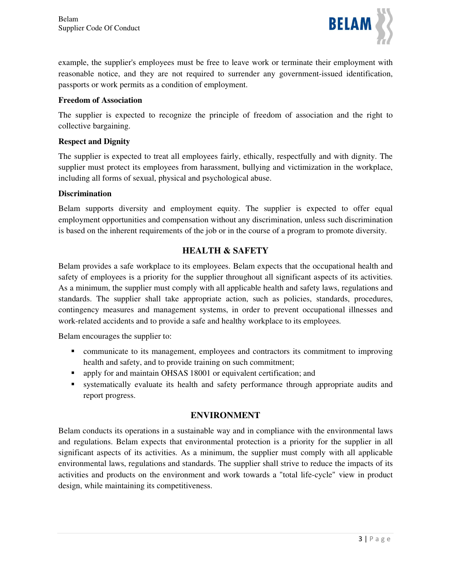

example, the supplier's employees must be free to leave work or terminate their employment with reasonable notice, and they are not required to surrender any government-issued identification, passports or work permits as a condition of employment.

#### **Freedom of Association**

The supplier is expected to recognize the principle of freedom of association and the right to collective bargaining.

#### **Respect and Dignity**

The supplier is expected to treat all employees fairly, ethically, respectfully and with dignity. The supplier must protect its employees from harassment, bullying and victimization in the workplace, including all forms of sexual, physical and psychological abuse.

#### **Discrimination**

Belam supports diversity and employment equity. The supplier is expected to offer equal employment opportunities and compensation without any discrimination, unless such discrimination is based on the inherent requirements of the job or in the course of a program to promote diversity.

# **HEALTH & SAFETY**

Belam provides a safe workplace to its employees. Belam expects that the occupational health and safety of employees is a priority for the supplier throughout all significant aspects of its activities. As a minimum, the supplier must comply with all applicable health and safety laws, regulations and standards. The supplier shall take appropriate action, such as policies, standards, procedures, contingency measures and management systems, in order to prevent occupational illnesses and work-related accidents and to provide a safe and healthy workplace to its employees.

Belam encourages the supplier to:

- communicate to its management, employees and contractors its commitment to improving health and safety, and to provide training on such commitment;
- apply for and maintain OHSAS 18001 or equivalent certification; and
- systematically evaluate its health and safety performance through appropriate audits and report progress.

#### **ENVIRONMENT**

Belam conducts its operations in a sustainable way and in compliance with the environmental laws and regulations. Belam expects that environmental protection is a priority for the supplier in all significant aspects of its activities. As a minimum, the supplier must comply with all applicable environmental laws, regulations and standards. The supplier shall strive to reduce the impacts of its activities and products on the environment and work towards a "total life-cycle" view in product design, while maintaining its competitiveness.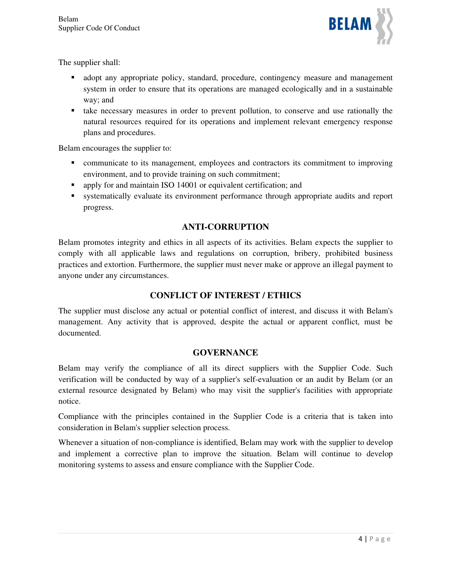

The supplier shall:

- adopt any appropriate policy, standard, procedure, contingency measure and management system in order to ensure that its operations are managed ecologically and in a sustainable way; and
- take necessary measures in order to prevent pollution, to conserve and use rationally the natural resources required for its operations and implement relevant emergency response plans and procedures.

Belam encourages the supplier to:

- communicate to its management, employees and contractors its commitment to improving environment, and to provide training on such commitment;
- apply for and maintain ISO 14001 or equivalent certification; and
- systematically evaluate its environment performance through appropriate audits and report progress.

# **ANTI-CORRUPTION**

Belam promotes integrity and ethics in all aspects of its activities. Belam expects the supplier to comply with all applicable laws and regulations on corruption, bribery, prohibited business practices and extortion. Furthermore, the supplier must never make or approve an illegal payment to anyone under any circumstances.

# **CONFLICT OF INTEREST / ETHICS**

The supplier must disclose any actual or potential conflict of interest, and discuss it with Belam's management. Any activity that is approved, despite the actual or apparent conflict, must be documented.

# **GOVERNANCE**

Belam may verify the compliance of all its direct suppliers with the Supplier Code. Such verification will be conducted by way of a supplier's self-evaluation or an audit by Belam (or an external resource designated by Belam) who may visit the supplier's facilities with appropriate notice.

Compliance with the principles contained in the Supplier Code is a criteria that is taken into consideration in Belam's supplier selection process.

Whenever a situation of non-compliance is identified, Belam may work with the supplier to develop and implement a corrective plan to improve the situation. Belam will continue to develop monitoring systems to assess and ensure compliance with the Supplier Code.